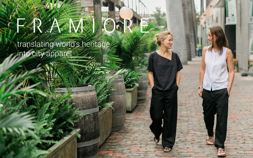# EASN

translating world's heritage into city apparel

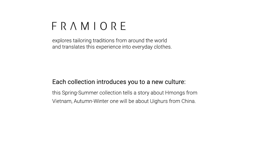# $F R \wedge M I O R E$

explores tailoring traditions from around the world and translates this experience into everyday clothes.

### Each collection introduces you to a new culture:

this Spring-Summer collection tells a story about Hmongs from Vietnam, Autumn-Winter one will be about Uighurs from China.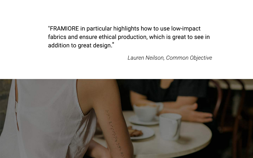"FRAMIORE in particular highlights how to use low-impact fabrics and ensure ethical production, which is great to see in addition to great design."

Lauren Neilson, Common Objective

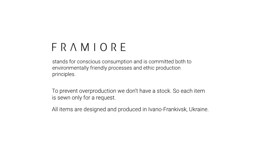## $F R \wedge M I O R E$

stands for conscious consumption and is committed both to environmentally friendly processes and ethic production principles.

To prevent overproduction we don't have a stock. So each item is sewn only for a request.

All items are designed and produced in Ivano-Frankivsk, Ukraine.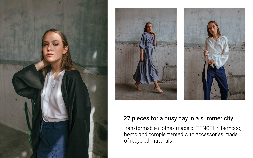



### 27 pieces for a busy day in a summer city

transformable clothes made of TENCEL™, bamboo, hemp and complemented with accessories made of recycled materials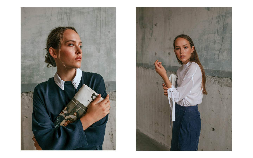



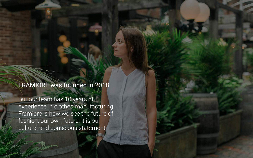### FRAMIORE was founded in 2018

But our team has 10 years of experience in clothes manufacturing. Framiore is how we see the future of fashion, our own future, it is our cultural and conscious statement.

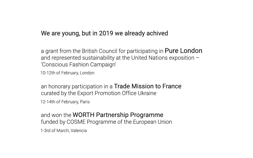### We are young, but in 2019 we already achived

a grant from the British Council for participating in **Pure London** and represented sustainability at the United Nations exposition -'Conscious Fashion Campaign'

10-12th of February, London

an honorary participation in a Trade Mission to France curated by the Export Promotion Office Ukraine 12-14th of February, Paris

and won the WORTH Partnership Programme funded by COSME Programme of the European Union

1-3rd of March, Valencia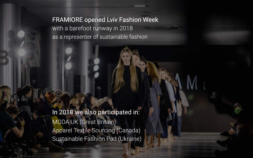FRAMIORE opened Lviv Fashion Week with a barefoot runway in 2018 as a representer of sustainable fashion

In 2018 we also participated in: MODA UK (Great Britain) Apparel Textile Sourcing (Canada) Sustainable Fashion Pad (Ukraine)

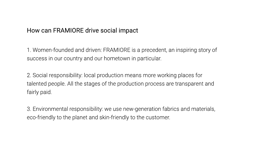#### How can FRAMIORE drive social impact

1. Women-founded and driven: FRAMIORE is a precedent, an inspiring story of success in our country and our hometown in particular.

2. Social responsibility: local production means more working places for talented people. All the stages of the production process are transparent and fairly paid.

3. Environmental responsibility: we use new-generation fabrics and materials, eco-friendly to the planet and skin-friendly to the customer.